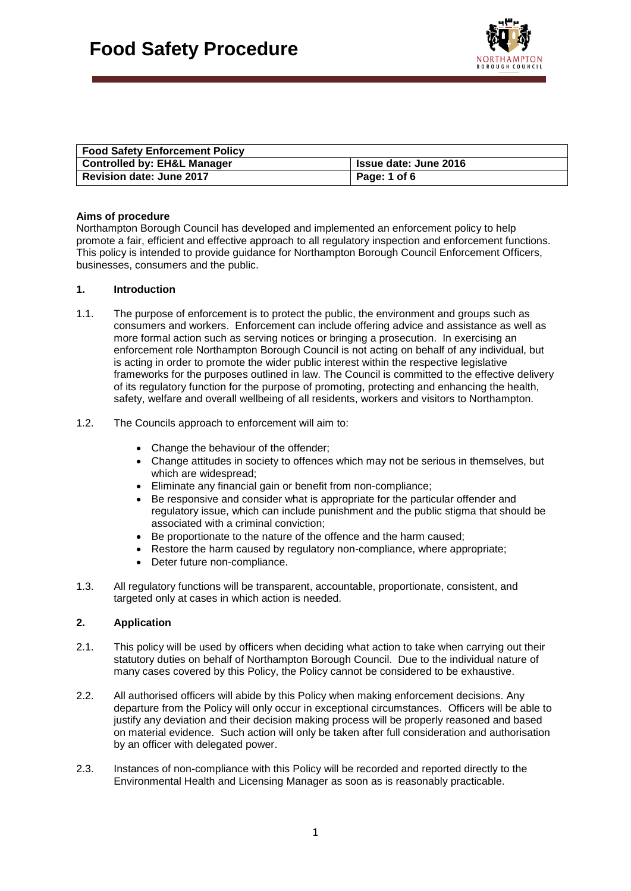

| Food Safety Enforcement Policy  |                              |
|---------------------------------|------------------------------|
| Controlled by: EH&L Manager     | <b>Issue date: June 2016</b> |
| <b>Revision date: June 2017</b> | Page: 1 of 6                 |

## **Aims of procedure**

Northampton Borough Council has developed and implemented an enforcement policy to help promote a fair, efficient and effective approach to all regulatory inspection and enforcement functions. This policy is intended to provide guidance for Northampton Borough Council Enforcement Officers, businesses, consumers and the public.

## **1. Introduction**

- 1.1. The purpose of enforcement is to protect the public, the environment and groups such as consumers and workers. Enforcement can include offering advice and assistance as well as more formal action such as serving notices or bringing a prosecution. In exercising an enforcement role Northampton Borough Council is not acting on behalf of any individual, but is acting in order to promote the wider public interest within the respective legislative frameworks for the purposes outlined in law. The Council is committed to the effective delivery of its regulatory function for the purpose of promoting, protecting and enhancing the health, safety, welfare and overall wellbeing of all residents, workers and visitors to Northampton.
- 1.2. The Councils approach to enforcement will aim to:
	- Change the behaviour of the offender;
	- Change attitudes in society to offences which may not be serious in themselves, but which are widespread;
	- Eliminate any financial gain or benefit from non-compliance;
	- Be responsive and consider what is appropriate for the particular offender and regulatory issue, which can include punishment and the public stigma that should be associated with a criminal conviction;
	- Be proportionate to the nature of the offence and the harm caused;
	- Restore the harm caused by regulatory non-compliance, where appropriate;
	- Deter future non-compliance.
- 1.3. All regulatory functions will be transparent, accountable, proportionate, consistent, and targeted only at cases in which action is needed.

# **2. Application**

- 2.1. This policy will be used by officers when deciding what action to take when carrying out their statutory duties on behalf of Northampton Borough Council. Due to the individual nature of many cases covered by this Policy, the Policy cannot be considered to be exhaustive.
- 2.2. All authorised officers will abide by this Policy when making enforcement decisions. Any departure from the Policy will only occur in exceptional circumstances. Officers will be able to justify any deviation and their decision making process will be properly reasoned and based on material evidence. Such action will only be taken after full consideration and authorisation by an officer with delegated power.
- 2.3. Instances of non-compliance with this Policy will be recorded and reported directly to the Environmental Health and Licensing Manager as soon as is reasonably practicable.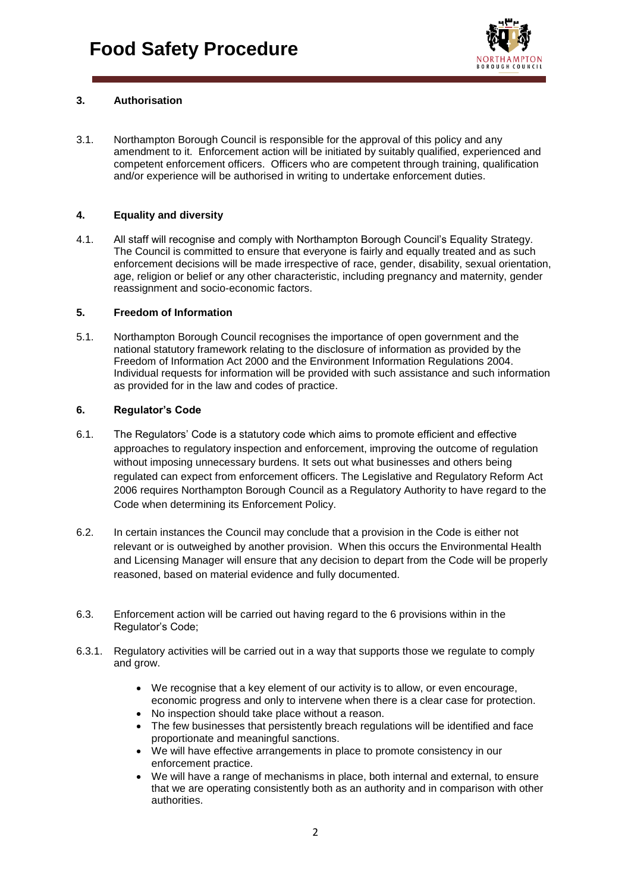

# **3. Authorisation**

3.1. Northampton Borough Council is responsible for the approval of this policy and any amendment to it. Enforcement action will be initiated by suitably qualified, experienced and competent enforcement officers. Officers who are competent through training, qualification and/or experience will be authorised in writing to undertake enforcement duties.

# **4. Equality and diversity**

4.1. All staff will recognise and comply with Northampton Borough Council's Equality Strategy. The Council is committed to ensure that everyone is fairly and equally treated and as such enforcement decisions will be made irrespective of race, gender, disability, sexual orientation, age, religion or belief or any other characteristic, including pregnancy and maternity, gender reassignment and socio-economic factors.

# **5. Freedom of Information**

5.1. Northampton Borough Council recognises the importance of open government and the national statutory framework relating to the disclosure of information as provided by the Freedom of Information Act 2000 and the Environment Information Regulations 2004. Individual requests for information will be provided with such assistance and such information as provided for in the law and codes of practice.

## **6. Regulator's Code**

- 6.1. The Regulators' Code is a statutory code which aims to promote efficient and effective approaches to regulatory inspection and enforcement, improving the outcome of regulation without imposing unnecessary burdens. It sets out what businesses and others being regulated can expect from enforcement officers. The Legislative and Regulatory Reform Act 2006 requires Northampton Borough Council as a Regulatory Authority to have regard to the Code when determining its Enforcement Policy.
- 6.2. In certain instances the Council may conclude that a provision in the Code is either not relevant or is outweighed by another provision. When this occurs the Environmental Health and Licensing Manager will ensure that any decision to depart from the Code will be properly reasoned, based on material evidence and fully documented.
- 6.3. Enforcement action will be carried out having regard to the 6 provisions within in the Regulator's Code;
- 6.3.1. Regulatory activities will be carried out in a way that supports those we regulate to comply and grow.
	- We recognise that a key element of our activity is to allow, or even encourage, economic progress and only to intervene when there is a clear case for protection.
	- No inspection should take place without a reason.
	- The few businesses that persistently breach regulations will be identified and face proportionate and meaningful sanctions.
	- We will have effective arrangements in place to promote consistency in our enforcement practice.
	- We will have a range of mechanisms in place, both internal and external, to ensure that we are operating consistently both as an authority and in comparison with other authorities.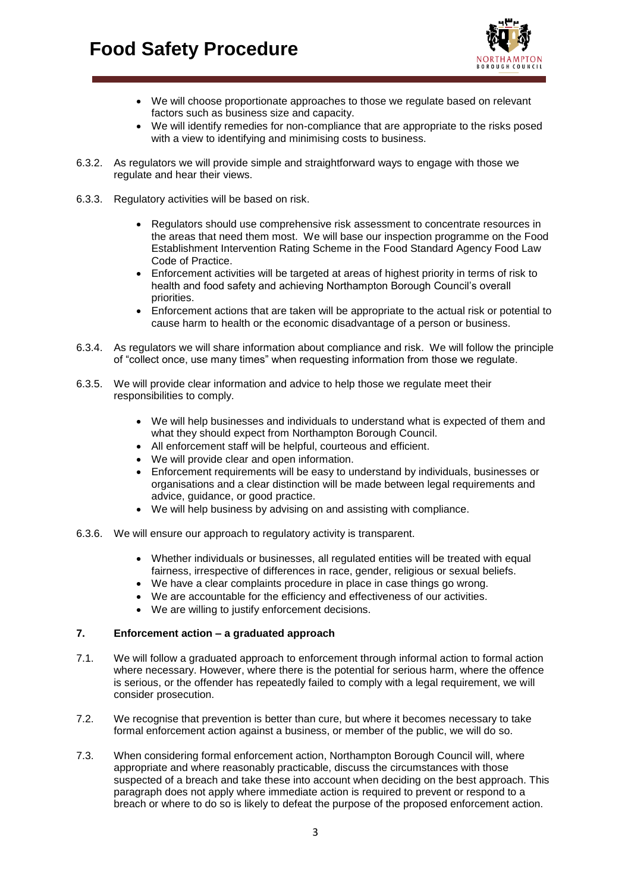# **Food Safety Procedure**



- We will choose proportionate approaches to those we regulate based on relevant factors such as business size and capacity.
- We will identify remedies for non-compliance that are appropriate to the risks posed with a view to identifying and minimising costs to business.
- 6.3.2. As regulators we will provide simple and straightforward ways to engage with those we regulate and hear their views.
- 6.3.3. Regulatory activities will be based on risk.
	- Regulators should use comprehensive risk assessment to concentrate resources in the areas that need them most. We will base our inspection programme on the Food Establishment Intervention Rating Scheme in the Food Standard Agency Food Law Code of Practice.
	- Enforcement activities will be targeted at areas of highest priority in terms of risk to health and food safety and achieving Northampton Borough Council's overall priorities.
	- Enforcement actions that are taken will be appropriate to the actual risk or potential to cause harm to health or the economic disadvantage of a person or business.
- 6.3.4. As regulators we will share information about compliance and risk. We will follow the principle of "collect once, use many times" when requesting information from those we regulate.
- 6.3.5. We will provide clear information and advice to help those we regulate meet their responsibilities to comply.
	- We will help businesses and individuals to understand what is expected of them and what they should expect from Northampton Borough Council.
	- All enforcement staff will be helpful, courteous and efficient.
	- We will provide clear and open information.
	- Enforcement requirements will be easy to understand by individuals, businesses or organisations and a clear distinction will be made between legal requirements and advice, guidance, or good practice.
	- We will help business by advising on and assisting with compliance.
- 6.3.6. We will ensure our approach to regulatory activity is transparent.
	- Whether individuals or businesses, all regulated entities will be treated with equal fairness, irrespective of differences in race, gender, religious or sexual beliefs.
	- We have a clear complaints procedure in place in case things go wrong.
	- We are accountable for the efficiency and effectiveness of our activities.
	- We are willing to justify enforcement decisions.

#### **7. Enforcement action – a graduated approach**

- 7.1. We will follow a graduated approach to enforcement through informal action to formal action where necessary. However, where there is the potential for serious harm, where the offence is serious, or the offender has repeatedly failed to comply with a legal requirement, we will consider prosecution.
- 7.2. We recognise that prevention is better than cure, but where it becomes necessary to take formal enforcement action against a business, or member of the public, we will do so.
- 7.3. When considering formal enforcement action, Northampton Borough Council will, where appropriate and where reasonably practicable, discuss the circumstances with those suspected of a breach and take these into account when deciding on the best approach. This paragraph does not apply where immediate action is required to prevent or respond to a breach or where to do so is likely to defeat the purpose of the proposed enforcement action.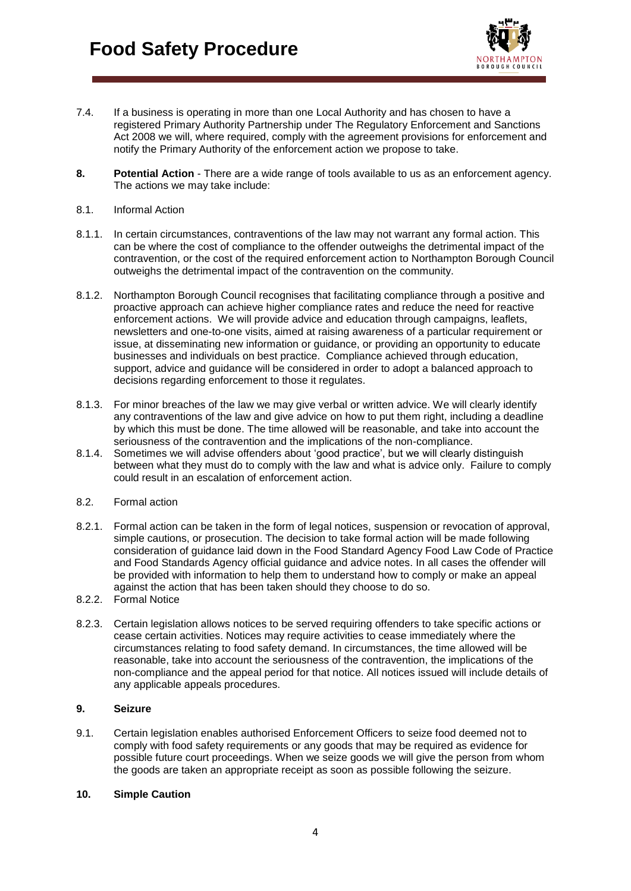

- 7.4. If a business is operating in more than one Local Authority and has chosen to have a registered Primary Authority Partnership under The Regulatory Enforcement and Sanctions Act 2008 we will, where required, comply with the agreement provisions for enforcement and notify the Primary Authority of the enforcement action we propose to take.
- **8. Potential Action** There are a wide range of tools available to us as an enforcement agency. The actions we may take include:
- 8.1. Informal Action
- 8.1.1. In certain circumstances, contraventions of the law may not warrant any formal action. This can be where the cost of compliance to the offender outweighs the detrimental impact of the contravention, or the cost of the required enforcement action to Northampton Borough Council outweighs the detrimental impact of the contravention on the community.
- 8.1.2. Northampton Borough Council recognises that facilitating compliance through a positive and proactive approach can achieve higher compliance rates and reduce the need for reactive enforcement actions. We will provide advice and education through campaigns, leaflets, newsletters and one-to-one visits, aimed at raising awareness of a particular requirement or issue, at disseminating new information or guidance, or providing an opportunity to educate businesses and individuals on best practice. Compliance achieved through education, support, advice and guidance will be considered in order to adopt a balanced approach to decisions regarding enforcement to those it regulates.
- 8.1.3. For minor breaches of the law we may give verbal or written advice. We will clearly identify any contraventions of the law and give advice on how to put them right, including a deadline by which this must be done. The time allowed will be reasonable, and take into account the seriousness of the contravention and the implications of the non-compliance.
- 8.1.4. Sometimes we will advise offenders about 'good practice', but we will clearly distinguish between what they must do to comply with the law and what is advice only. Failure to comply could result in an escalation of enforcement action.
- 8.2. Formal action
- 8.2.1. Formal action can be taken in the form of legal notices, suspension or revocation of approval, simple cautions, or prosecution. The decision to take formal action will be made following consideration of guidance laid down in the Food Standard Agency Food Law Code of Practice and Food Standards Agency official guidance and advice notes. In all cases the offender will be provided with information to help them to understand how to comply or make an appeal against the action that has been taken should they choose to do so.
- 8.2.2. Formal Notice
- 8.2.3. Certain legislation allows notices to be served requiring offenders to take specific actions or cease certain activities. Notices may require activities to cease immediately where the circumstances relating to food safety demand. In circumstances, the time allowed will be reasonable, take into account the seriousness of the contravention, the implications of the non-compliance and the appeal period for that notice. All notices issued will include details of any applicable appeals procedures.

# **9. Seizure**

9.1. Certain legislation enables authorised Enforcement Officers to seize food deemed not to comply with food safety requirements or any goods that may be required as evidence for possible future court proceedings. When we seize goods we will give the person from whom the goods are taken an appropriate receipt as soon as possible following the seizure.

### **10. Simple Caution**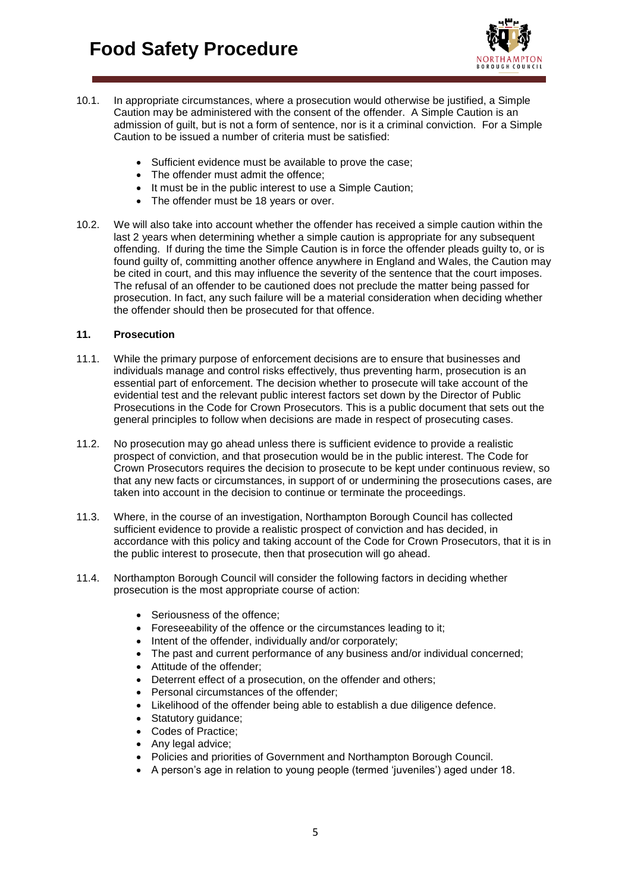

- 10.1. In appropriate circumstances, where a prosecution would otherwise be justified, a Simple Caution may be administered with the consent of the offender. A Simple Caution is an admission of guilt, but is not a form of sentence, nor is it a criminal conviction. For a Simple Caution to be issued a number of criteria must be satisfied:
	- Sufficient evidence must be available to prove the case;
	- The offender must admit the offence;
	- It must be in the public interest to use a Simple Caution:
	- The offender must be 18 years or over.
- 10.2. We will also take into account whether the offender has received a simple caution within the last 2 years when determining whether a simple caution is appropriate for any subsequent offending. If during the time the Simple Caution is in force the offender pleads guilty to, or is found guilty of, committing another offence anywhere in England and Wales, the Caution may be cited in court, and this may influence the severity of the sentence that the court imposes. The refusal of an offender to be cautioned does not preclude the matter being passed for prosecution. In fact, any such failure will be a material consideration when deciding whether the offender should then be prosecuted for that offence.

## **11. Prosecution**

- 11.1. While the primary purpose of enforcement decisions are to ensure that businesses and individuals manage and control risks effectively, thus preventing harm, prosecution is an essential part of enforcement. The decision whether to prosecute will take account of the evidential test and the relevant public interest factors set down by the Director of Public Prosecutions in the Code for Crown Prosecutors. This is a public document that sets out the general principles to follow when decisions are made in respect of prosecuting cases.
- 11.2. No prosecution may go ahead unless there is sufficient evidence to provide a realistic prospect of conviction, and that prosecution would be in the public interest. The Code for Crown Prosecutors requires the decision to prosecute to be kept under continuous review, so that any new facts or circumstances, in support of or undermining the prosecutions cases, are taken into account in the decision to continue or terminate the proceedings.
- 11.3. Where, in the course of an investigation, Northampton Borough Council has collected sufficient evidence to provide a realistic prospect of conviction and has decided, in accordance with this policy and taking account of the Code for Crown Prosecutors, that it is in the public interest to prosecute, then that prosecution will go ahead.
- 11.4. Northampton Borough Council will consider the following factors in deciding whether prosecution is the most appropriate course of action:
	- Seriousness of the offence:
	- Foreseeability of the offence or the circumstances leading to it;
	- Intent of the offender, individually and/or corporately;
	- The past and current performance of any business and/or individual concerned;
	- Attitude of the offender:
	- Deterrent effect of a prosecution, on the offender and others;
	- Personal circumstances of the offender:
	- Likelihood of the offender being able to establish a due diligence defence.
	- Statutory guidance;
	- Codes of Practice:
	- Any legal advice;
	- Policies and priorities of Government and Northampton Borough Council.
	- A person's age in relation to young people (termed 'juveniles') aged under 18.